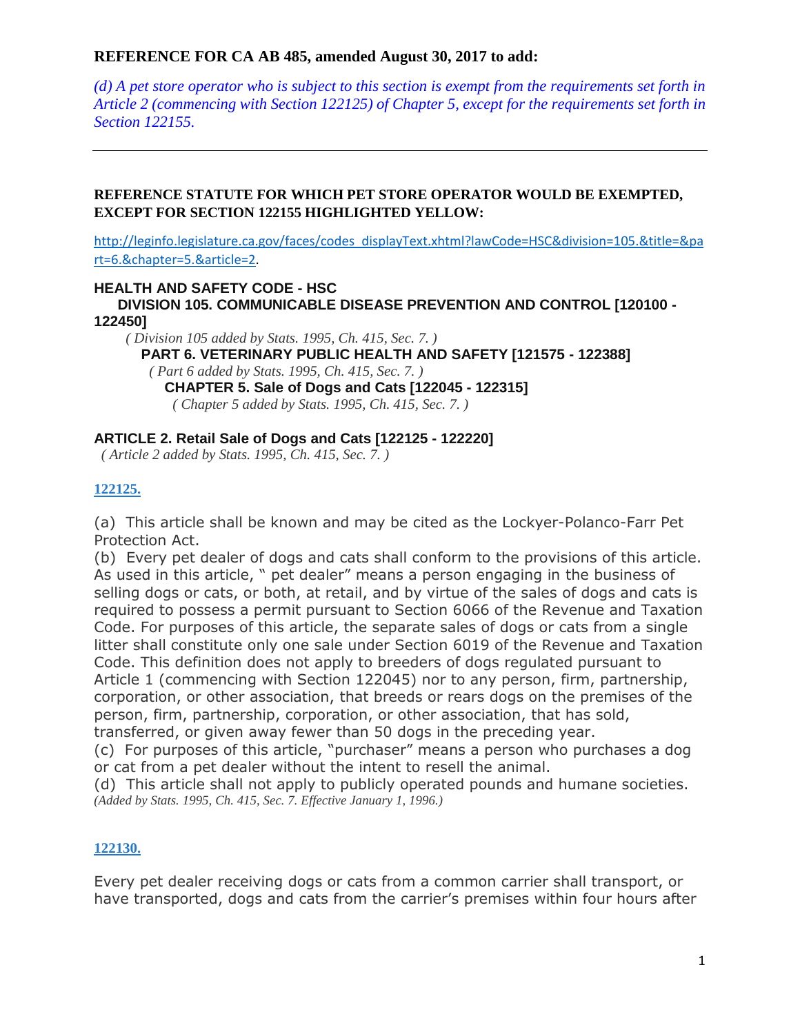$(d)$  A pet store operator who is subject to this section is exempt from the requirements set forth in *Article 2 (commencing with Section 122125) of Chapter 5, except for the requirements set forth in Section 122155.*

#### **REFERENCE STATUTE FOR WHICH PET STORE OPERATOR WOULD BE EXEMPTED, EXCEPT FOR SECTION 122155 HIGHLIGHTED YELLOW:**

[http://leginfo.legislature.ca.gov/faces/codes\\_displayText.xhtml?lawCode=HSC&division=105.&title=&pa](http://leginfo.legislature.ca.gov/faces/codes_displayText.xhtml?lawCode=HSC&division=105.&title=&part=6.&chapter=5.&article=2) [rt=6.&chapter=5.&article=2.](http://leginfo.legislature.ca.gov/faces/codes_displayText.xhtml?lawCode=HSC&division=105.&title=&part=6.&chapter=5.&article=2)

#### **HEALTH AND SAFETY CODE - HSC**

**DIVISION 105. COMMUNICABLE DISEASE PREVENTION AND CONTROL [120100 - 122450]**

 *( Division 105 added by Stats. 1995, Ch. 415, Sec. 7. )* **PART 6. VETERINARY PUBLIC HEALTH AND SAFETY [121575 - 122388]** *( Part 6 added by Stats. 1995, Ch. 415, Sec. 7. )* **CHAPTER 5. Sale of Dogs and Cats [122045 - 122315]** *( Chapter 5 added by Stats. 1995, Ch. 415, Sec. 7. )*

#### **ARTICLE 2. Retail Sale of Dogs and Cats [122125 - 122220]**

*( Article 2 added by Stats. 1995, Ch. 415, Sec. 7. )*

#### **[122125.](javascript:submitCodesValues()**

(a) This article shall be known and may be cited as the Lockyer-Polanco-Farr Pet Protection Act.

(b) Every pet dealer of dogs and cats shall conform to the provisions of this article. As used in this article, " pet dealer" means a person engaging in the business of selling dogs or cats, or both, at retail, and by virtue of the sales of dogs and cats is required to possess a permit pursuant to Section 6066 of the Revenue and Taxation Code. For purposes of this article, the separate sales of dogs or cats from a single litter shall constitute only one sale under Section 6019 of the Revenue and Taxation Code. This definition does not apply to breeders of dogs regulated pursuant to Article 1 (commencing with Section 122045) nor to any person, firm, partnership, corporation, or other association, that breeds or rears dogs on the premises of the person, firm, partnership, corporation, or other association, that has sold, transferred, or given away fewer than 50 dogs in the preceding year.

(c) For purposes of this article, "purchaser" means a person who purchases a dog or cat from a pet dealer without the intent to resell the animal.

(d) This article shall not apply to publicly operated pounds and humane societies. *(Added by Stats. 1995, Ch. 415, Sec. 7. Effective January 1, 1996.)*

## **[122130.](javascript:submitCodesValues()**

Every pet dealer receiving dogs or cats from a common carrier shall transport, or have transported, dogs and cats from the carrier's premises within four hours after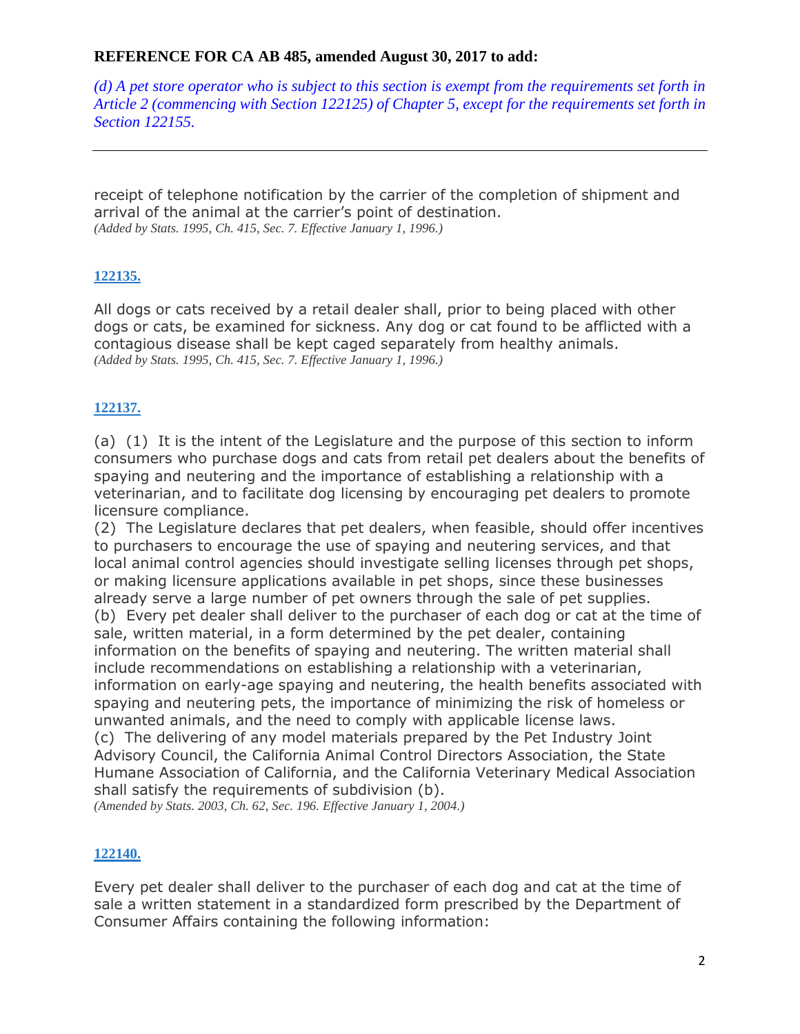$(d)$  A pet store operator who is subject to this section is exempt from the requirements set forth in *Article 2 (commencing with Section 122125) of Chapter 5, except for the requirements set forth in Section 122155.*

receipt of telephone notification by the carrier of the completion of shipment and arrival of the animal at the carrier's point of destination. *(Added by Stats. 1995, Ch. 415, Sec. 7. Effective January 1, 1996.)*

## **[122135.](javascript:submitCodesValues()**

All dogs or cats received by a retail dealer shall, prior to being placed with other dogs or cats, be examined for sickness. Any dog or cat found to be afflicted with a contagious disease shall be kept caged separately from healthy animals. *(Added by Stats. 1995, Ch. 415, Sec. 7. Effective January 1, 1996.)*

# **[122137.](javascript:submitCodesValues()**

(a) (1) It is the intent of the Legislature and the purpose of this section to inform consumers who purchase dogs and cats from retail pet dealers about the benefits of spaying and neutering and the importance of establishing a relationship with a veterinarian, and to facilitate dog licensing by encouraging pet dealers to promote licensure compliance.

(2) The Legislature declares that pet dealers, when feasible, should offer incentives to purchasers to encourage the use of spaying and neutering services, and that local animal control agencies should investigate selling licenses through pet shops, or making licensure applications available in pet shops, since these businesses already serve a large number of pet owners through the sale of pet supplies. (b) Every pet dealer shall deliver to the purchaser of each dog or cat at the time of sale, written material, in a form determined by the pet dealer, containing information on the benefits of spaying and neutering. The written material shall include recommendations on establishing a relationship with a veterinarian, information on early-age spaying and neutering, the health benefits associated with spaying and neutering pets, the importance of minimizing the risk of homeless or unwanted animals, and the need to comply with applicable license laws. (c) The delivering of any model materials prepared by the Pet Industry Joint

Advisory Council, the California Animal Control Directors Association, the State Humane Association of California, and the California Veterinary Medical Association shall satisfy the requirements of subdivision (b).

*(Amended by Stats. 2003, Ch. 62, Sec. 196. Effective January 1, 2004.)*

## **[122140.](javascript:submitCodesValues()**

Every pet dealer shall deliver to the purchaser of each dog and cat at the time of sale a written statement in a standardized form prescribed by the Department of Consumer Affairs containing the following information: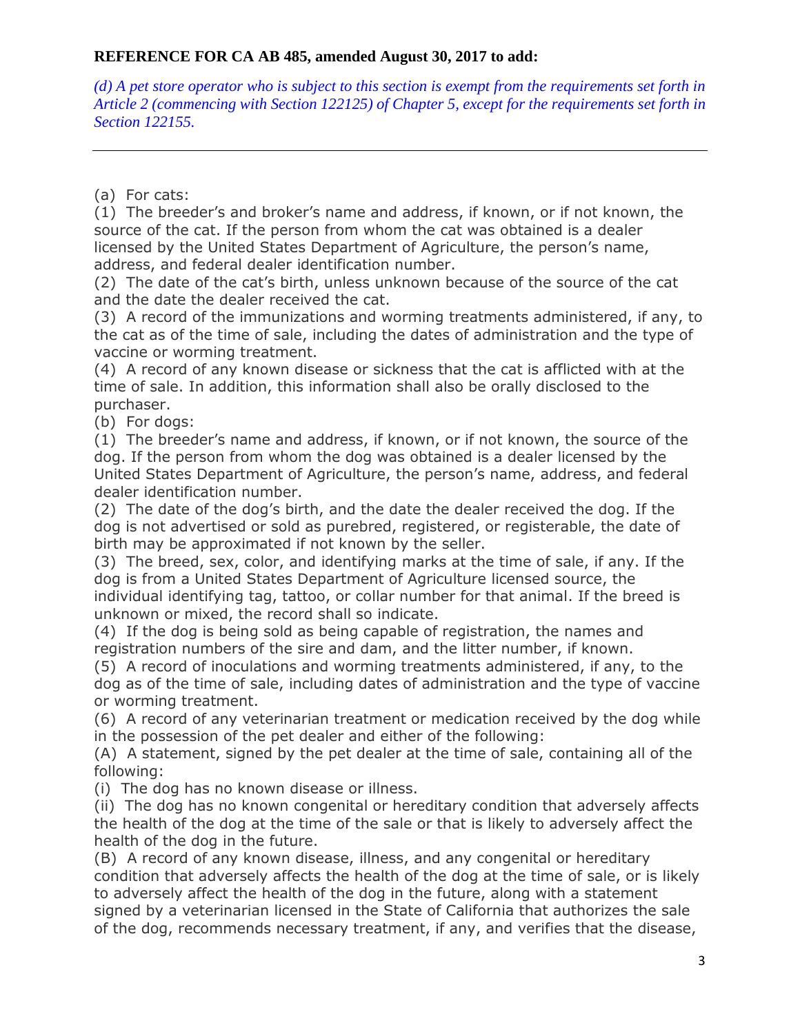$(d)$  A pet store operator who is subject to this section is exempt from the requirements set forth in *Article 2 (commencing with Section 122125) of Chapter 5, except for the requirements set forth in Section 122155.*

(a) For cats:

(1) The breeder's and broker's name and address, if known, or if not known, the source of the cat. If the person from whom the cat was obtained is a dealer licensed by the United States Department of Agriculture, the person's name, address, and federal dealer identification number.

(2) The date of the cat's birth, unless unknown because of the source of the cat and the date the dealer received the cat.

(3) A record of the immunizations and worming treatments administered, if any, to the cat as of the time of sale, including the dates of administration and the type of vaccine or worming treatment.

(4) A record of any known disease or sickness that the cat is afflicted with at the time of sale. In addition, this information shall also be orally disclosed to the purchaser.

(b) For dogs:

(1) The breeder's name and address, if known, or if not known, the source of the dog. If the person from whom the dog was obtained is a dealer licensed by the United States Department of Agriculture, the person's name, address, and federal dealer identification number.

(2) The date of the dog's birth, and the date the dealer received the dog. If the dog is not advertised or sold as purebred, registered, or registerable, the date of birth may be approximated if not known by the seller.

(3) The breed, sex, color, and identifying marks at the time of sale, if any. If the dog is from a United States Department of Agriculture licensed source, the individual identifying tag, tattoo, or collar number for that animal. If the breed is unknown or mixed, the record shall so indicate.

(4) If the dog is being sold as being capable of registration, the names and registration numbers of the sire and dam, and the litter number, if known.

(5) A record of inoculations and worming treatments administered, if any, to the dog as of the time of sale, including dates of administration and the type of vaccine or worming treatment.

(6) A record of any veterinarian treatment or medication received by the dog while in the possession of the pet dealer and either of the following:

(A) A statement, signed by the pet dealer at the time of sale, containing all of the following:

(i) The dog has no known disease or illness.

(ii) The dog has no known congenital or hereditary condition that adversely affects the health of the dog at the time of the sale or that is likely to adversely affect the health of the dog in the future.

(B) A record of any known disease, illness, and any congenital or hereditary condition that adversely affects the health of the dog at the time of sale, or is likely to adversely affect the health of the dog in the future, along with a statement signed by a veterinarian licensed in the State of California that authorizes the sale of the dog, recommends necessary treatment, if any, and verifies that the disease,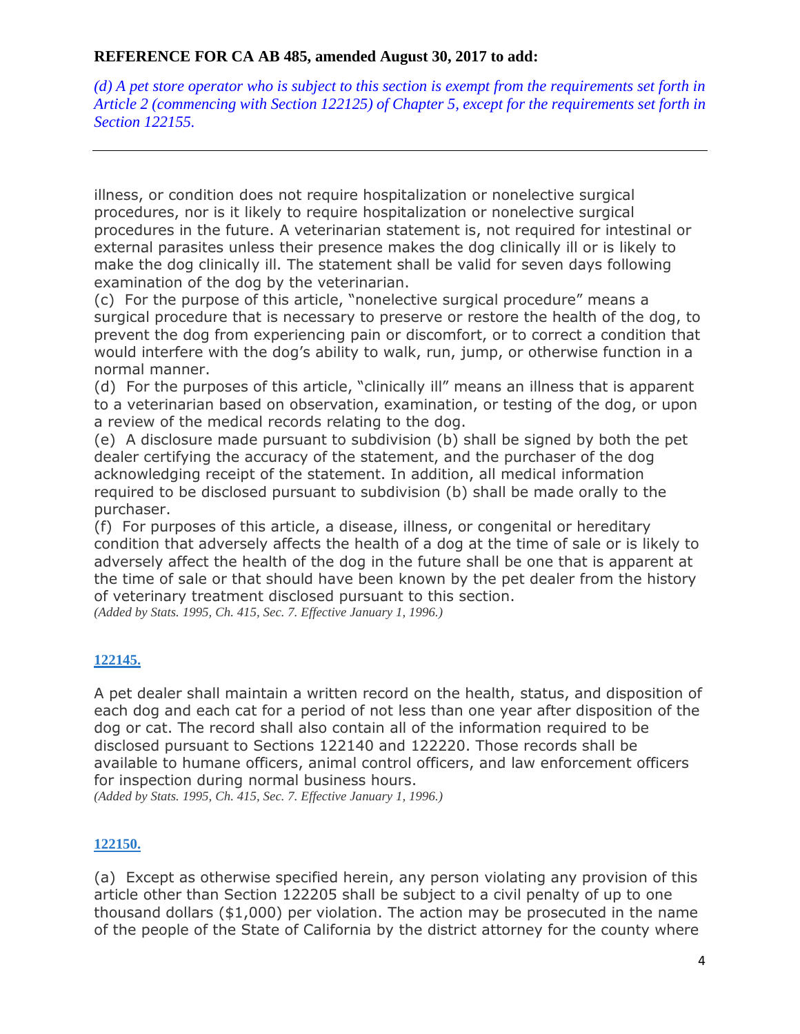$(d)$  A pet store operator who is subject to this section is exempt from the requirements set forth in *Article 2 (commencing with Section 122125) of Chapter 5, except for the requirements set forth in Section 122155.*

illness, or condition does not require hospitalization or nonelective surgical procedures, nor is it likely to require hospitalization or nonelective surgical procedures in the future. A veterinarian statement is, not required for intestinal or external parasites unless their presence makes the dog clinically ill or is likely to make the dog clinically ill. The statement shall be valid for seven days following examination of the dog by the veterinarian.

(c) For the purpose of this article, "nonelective surgical procedure" means a surgical procedure that is necessary to preserve or restore the health of the dog, to prevent the dog from experiencing pain or discomfort, or to correct a condition that would interfere with the dog's ability to walk, run, jump, or otherwise function in a normal manner.

(d) For the purposes of this article, "clinically ill" means an illness that is apparent to a veterinarian based on observation, examination, or testing of the dog, or upon a review of the medical records relating to the dog.

(e) A disclosure made pursuant to subdivision (b) shall be signed by both the pet dealer certifying the accuracy of the statement, and the purchaser of the dog acknowledging receipt of the statement. In addition, all medical information required to be disclosed pursuant to subdivision (b) shall be made orally to the purchaser.

(f) For purposes of this article, a disease, illness, or congenital or hereditary condition that adversely affects the health of a dog at the time of sale or is likely to adversely affect the health of the dog in the future shall be one that is apparent at the time of sale or that should have been known by the pet dealer from the history of veterinary treatment disclosed pursuant to this section.

*(Added by Stats. 1995, Ch. 415, Sec. 7. Effective January 1, 1996.)*

## **[122145.](javascript:submitCodesValues()**

A pet dealer shall maintain a written record on the health, status, and disposition of each dog and each cat for a period of not less than one year after disposition of the dog or cat. The record shall also contain all of the information required to be disclosed pursuant to Sections 122140 and 122220. Those records shall be available to humane officers, animal control officers, and law enforcement officers for inspection during normal business hours.

*(Added by Stats. 1995, Ch. 415, Sec. 7. Effective January 1, 1996.)*

## **[122150.](javascript:submitCodesValues()**

(a) Except as otherwise specified herein, any person violating any provision of this article other than Section 122205 shall be subject to a civil penalty of up to one thousand dollars (\$1,000) per violation. The action may be prosecuted in the name of the people of the State of California by the district attorney for the county where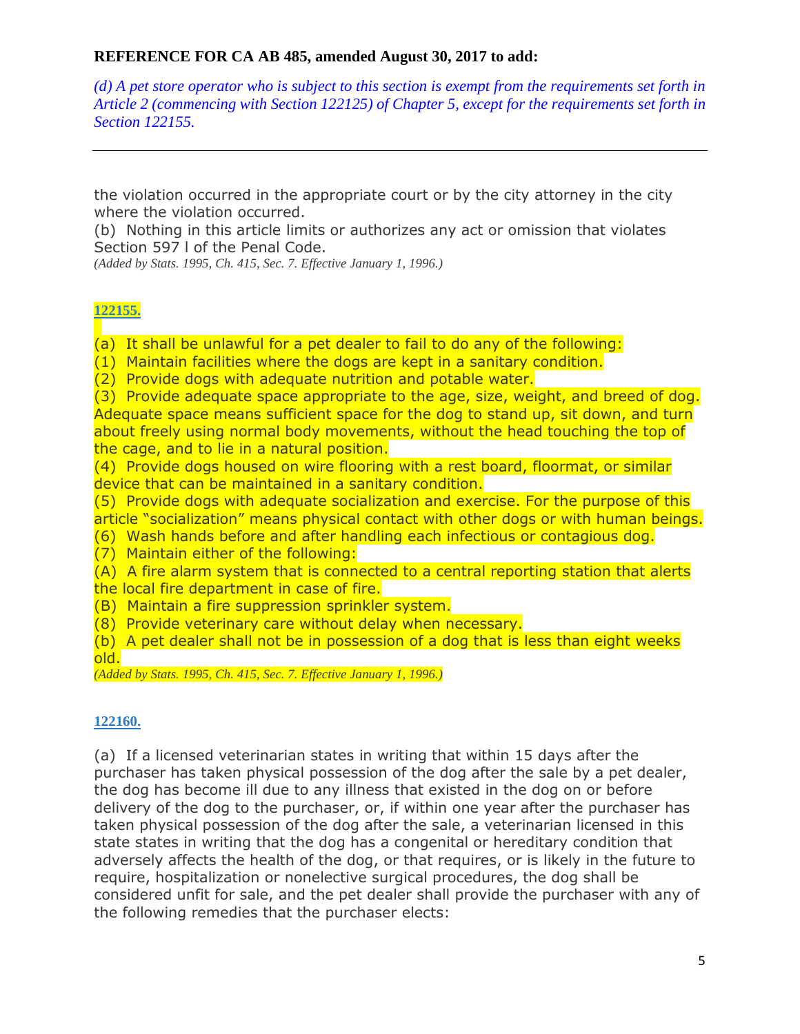$(d)$  A pet store operator who is subject to this section is exempt from the requirements set forth in *Article 2 (commencing with Section 122125) of Chapter 5, except for the requirements set forth in Section 122155.*

the violation occurred in the appropriate court or by the city attorney in the city where the violation occurred.

(b) Nothing in this article limits or authorizes any act or omission that violates Section 597 l of the Penal Code.

*(Added by Stats. 1995, Ch. 415, Sec. 7. Effective January 1, 1996.)*

#### **[122155.](javascript:submitCodesValues()**

(a) It shall be unlawful for a pet dealer to fail to do any of the following:

(1) Maintain facilities where the dogs are kept in a sanitary condition.

(2) Provide dogs with adequate nutrition and potable water.

(3) Provide adequate space appropriate to the age, size, weight, and breed of dog. Adequate space means sufficient space for the dog to stand up, sit down, and turn about freely using normal body movements, without the head touching the top of the cage, and to lie in a natural position.

(4) Provide dogs housed on wire flooring with a rest board, floormat, or similar device that can be maintained in a sanitary condition.

(5) Provide dogs with adequate socialization and exercise. For the purpose of this article "socialization" means physical contact with other dogs or with human beings.

(6) Wash hands before and after handling each infectious or contagious dog.

(7) Maintain either of the following:

(A) A fire alarm system that is connected to a central reporting station that alerts the local fire department in case of fire.

(B) Maintain a fire suppression sprinkler system.

(8) Provide veterinary care without delay when necessary.

(b) A pet dealer shall not be in possession of a dog that is less than eight weeks old.

*(Added by Stats. 1995, Ch. 415, Sec. 7. Effective January 1, 1996.)*

#### **[122160.](javascript:submitCodesValues()**

(a) If a licensed veterinarian states in writing that within 15 days after the purchaser has taken physical possession of the dog after the sale by a pet dealer, the dog has become ill due to any illness that existed in the dog on or before delivery of the dog to the purchaser, or, if within one year after the purchaser has taken physical possession of the dog after the sale, a veterinarian licensed in this state states in writing that the dog has a congenital or hereditary condition that adversely affects the health of the dog, or that requires, or is likely in the future to require, hospitalization or nonelective surgical procedures, the dog shall be considered unfit for sale, and the pet dealer shall provide the purchaser with any of the following remedies that the purchaser elects: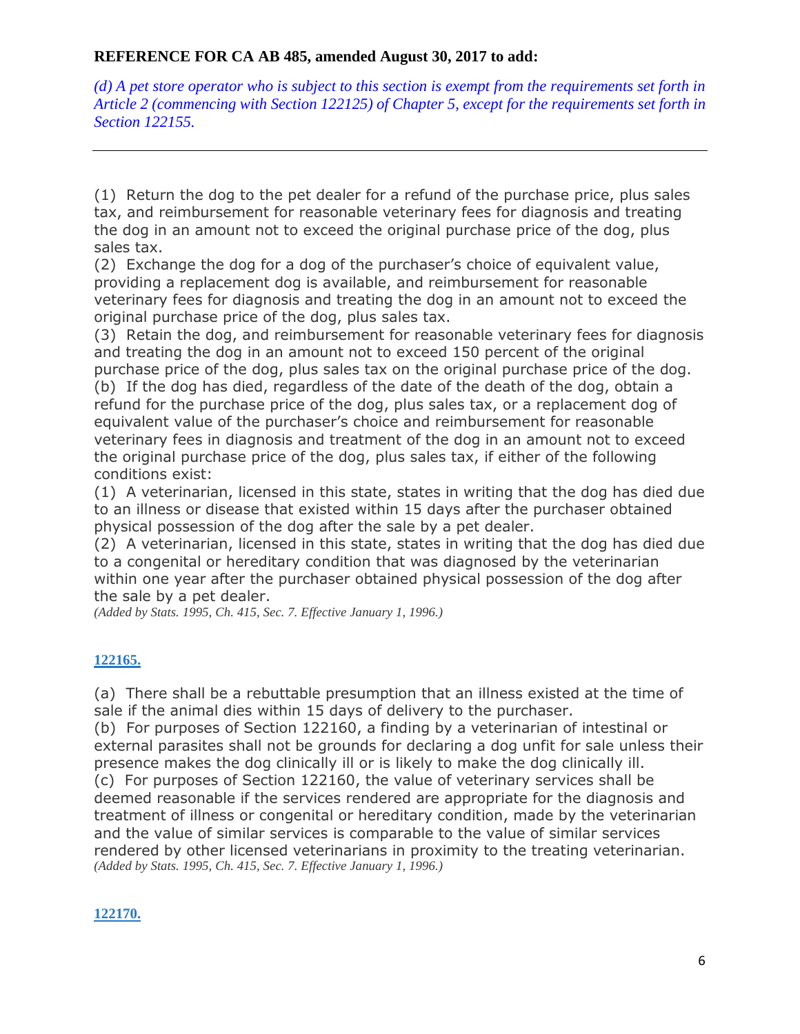$(d)$  A pet store operator who is subject to this section is exempt from the requirements set forth in *Article 2 (commencing with Section 122125) of Chapter 5, except for the requirements set forth in Section 122155.*

(1) Return the dog to the pet dealer for a refund of the purchase price, plus sales tax, and reimbursement for reasonable veterinary fees for diagnosis and treating the dog in an amount not to exceed the original purchase price of the dog, plus sales tax.

(2) Exchange the dog for a dog of the purchaser's choice of equivalent value, providing a replacement dog is available, and reimbursement for reasonable veterinary fees for diagnosis and treating the dog in an amount not to exceed the original purchase price of the dog, plus sales tax.

(3) Retain the dog, and reimbursement for reasonable veterinary fees for diagnosis and treating the dog in an amount not to exceed 150 percent of the original purchase price of the dog, plus sales tax on the original purchase price of the dog. (b) If the dog has died, regardless of the date of the death of the dog, obtain a refund for the purchase price of the dog, plus sales tax, or a replacement dog of equivalent value of the purchaser's choice and reimbursement for reasonable veterinary fees in diagnosis and treatment of the dog in an amount not to exceed the original purchase price of the dog, plus sales tax, if either of the following conditions exist:

(1) A veterinarian, licensed in this state, states in writing that the dog has died due to an illness or disease that existed within 15 days after the purchaser obtained physical possession of the dog after the sale by a pet dealer.

(2) A veterinarian, licensed in this state, states in writing that the dog has died due to a congenital or hereditary condition that was diagnosed by the veterinarian within one year after the purchaser obtained physical possession of the dog after the sale by a pet dealer.

*(Added by Stats. 1995, Ch. 415, Sec. 7. Effective January 1, 1996.)*

## **[122165.](javascript:submitCodesValues()**

(a) There shall be a rebuttable presumption that an illness existed at the time of sale if the animal dies within 15 days of delivery to the purchaser.

(b) For purposes of Section 122160, a finding by a veterinarian of intestinal or external parasites shall not be grounds for declaring a dog unfit for sale unless their presence makes the dog clinically ill or is likely to make the dog clinically ill. (c) For purposes of Section 122160, the value of veterinary services shall be deemed reasonable if the services rendered are appropriate for the diagnosis and treatment of illness or congenital or hereditary condition, made by the veterinarian and the value of similar services is comparable to the value of similar services rendered by other licensed veterinarians in proximity to the treating veterinarian. *(Added by Stats. 1995, Ch. 415, Sec. 7. Effective January 1, 1996.)*

#### **[122170.](javascript:submitCodesValues()**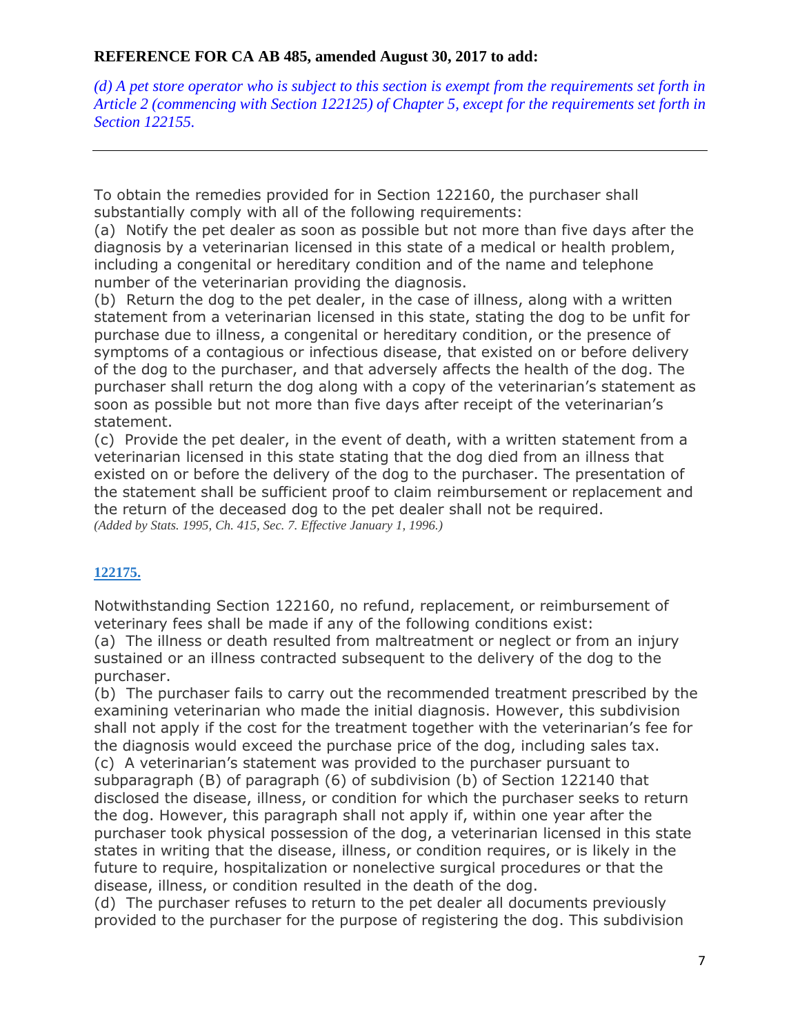$(d)$  A pet store operator who is subject to this section is exempt from the requirements set forth in *Article 2 (commencing with Section 122125) of Chapter 5, except for the requirements set forth in Section 122155.*

To obtain the remedies provided for in Section 122160, the purchaser shall substantially comply with all of the following requirements:

(a) Notify the pet dealer as soon as possible but not more than five days after the diagnosis by a veterinarian licensed in this state of a medical or health problem, including a congenital or hereditary condition and of the name and telephone number of the veterinarian providing the diagnosis.

(b) Return the dog to the pet dealer, in the case of illness, along with a written statement from a veterinarian licensed in this state, stating the dog to be unfit for purchase due to illness, a congenital or hereditary condition, or the presence of symptoms of a contagious or infectious disease, that existed on or before delivery of the dog to the purchaser, and that adversely affects the health of the dog. The purchaser shall return the dog along with a copy of the veterinarian's statement as soon as possible but not more than five days after receipt of the veterinarian's statement.

(c) Provide the pet dealer, in the event of death, with a written statement from a veterinarian licensed in this state stating that the dog died from an illness that existed on or before the delivery of the dog to the purchaser. The presentation of the statement shall be sufficient proof to claim reimbursement or replacement and the return of the deceased dog to the pet dealer shall not be required. *(Added by Stats. 1995, Ch. 415, Sec. 7. Effective January 1, 1996.)*

## **[122175.](javascript:submitCodesValues()**

Notwithstanding Section 122160, no refund, replacement, or reimbursement of veterinary fees shall be made if any of the following conditions exist: (a) The illness or death resulted from maltreatment or neglect or from an injury sustained or an illness contracted subsequent to the delivery of the dog to the purchaser.

(b) The purchaser fails to carry out the recommended treatment prescribed by the examining veterinarian who made the initial diagnosis. However, this subdivision shall not apply if the cost for the treatment together with the veterinarian's fee for the diagnosis would exceed the purchase price of the dog, including sales tax. (c) A veterinarian's statement was provided to the purchaser pursuant to subparagraph (B) of paragraph (6) of subdivision (b) of Section 122140 that disclosed the disease, illness, or condition for which the purchaser seeks to return the dog. However, this paragraph shall not apply if, within one year after the purchaser took physical possession of the dog, a veterinarian licensed in this state states in writing that the disease, illness, or condition requires, or is likely in the future to require, hospitalization or nonelective surgical procedures or that the disease, illness, or condition resulted in the death of the dog.

(d) The purchaser refuses to return to the pet dealer all documents previously provided to the purchaser for the purpose of registering the dog. This subdivision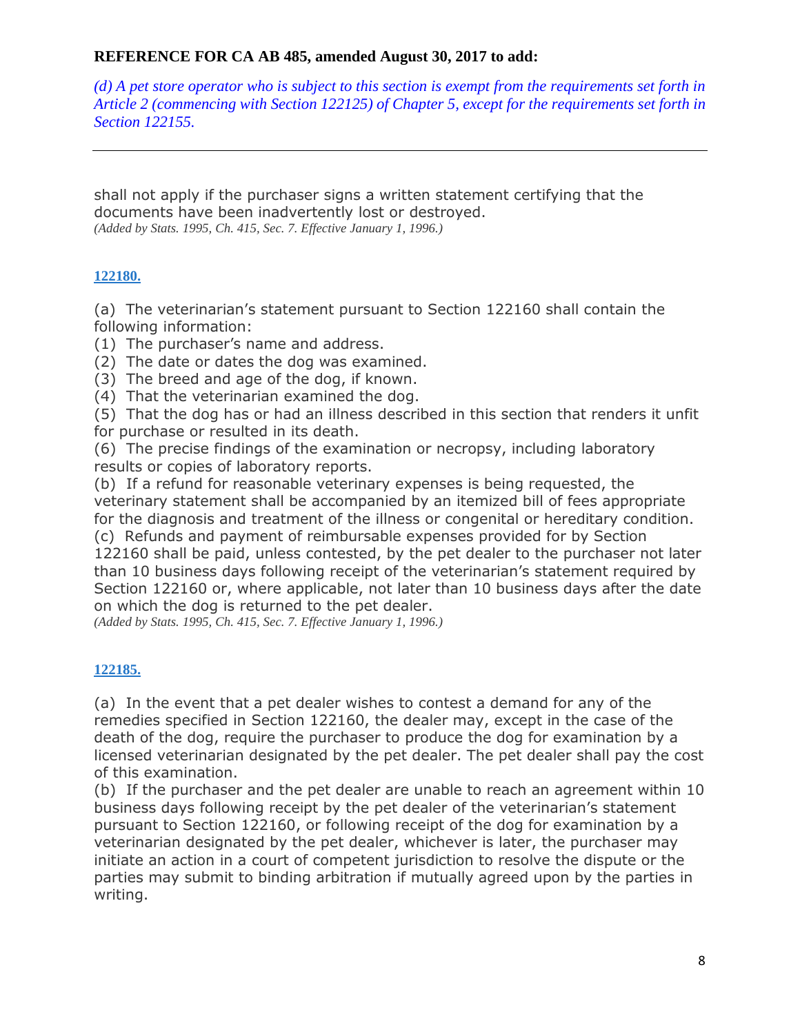$(d)$  A pet store operator who is subject to this section is exempt from the requirements set forth in *Article 2 (commencing with Section 122125) of Chapter 5, except for the requirements set forth in Section 122155.*

shall not apply if the purchaser signs a written statement certifying that the documents have been inadvertently lost or destroyed. *(Added by Stats. 1995, Ch. 415, Sec. 7. Effective January 1, 1996.)*

## **[122180.](javascript:submitCodesValues()**

(a) The veterinarian's statement pursuant to Section 122160 shall contain the following information:

- (1) The purchaser's name and address.
- (2) The date or dates the dog was examined.
- (3) The breed and age of the dog, if known.
- (4) That the veterinarian examined the dog.

(5) That the dog has or had an illness described in this section that renders it unfit for purchase or resulted in its death.

(6) The precise findings of the examination or necropsy, including laboratory results or copies of laboratory reports.

(b) If a refund for reasonable veterinary expenses is being requested, the veterinary statement shall be accompanied by an itemized bill of fees appropriate for the diagnosis and treatment of the illness or congenital or hereditary condition. (c) Refunds and payment of reimbursable expenses provided for by Section 122160 shall be paid, unless contested, by the pet dealer to the purchaser not later than 10 business days following receipt of the veterinarian's statement required by Section 122160 or, where applicable, not later than 10 business days after the date on which the dog is returned to the pet dealer.

*(Added by Stats. 1995, Ch. 415, Sec. 7. Effective January 1, 1996.)*

## **[122185.](javascript:submitCodesValues()**

(a) In the event that a pet dealer wishes to contest a demand for any of the remedies specified in Section 122160, the dealer may, except in the case of the death of the dog, require the purchaser to produce the dog for examination by a licensed veterinarian designated by the pet dealer. The pet dealer shall pay the cost of this examination.

(b) If the purchaser and the pet dealer are unable to reach an agreement within 10 business days following receipt by the pet dealer of the veterinarian's statement pursuant to Section 122160, or following receipt of the dog for examination by a veterinarian designated by the pet dealer, whichever is later, the purchaser may initiate an action in a court of competent jurisdiction to resolve the dispute or the parties may submit to binding arbitration if mutually agreed upon by the parties in writing.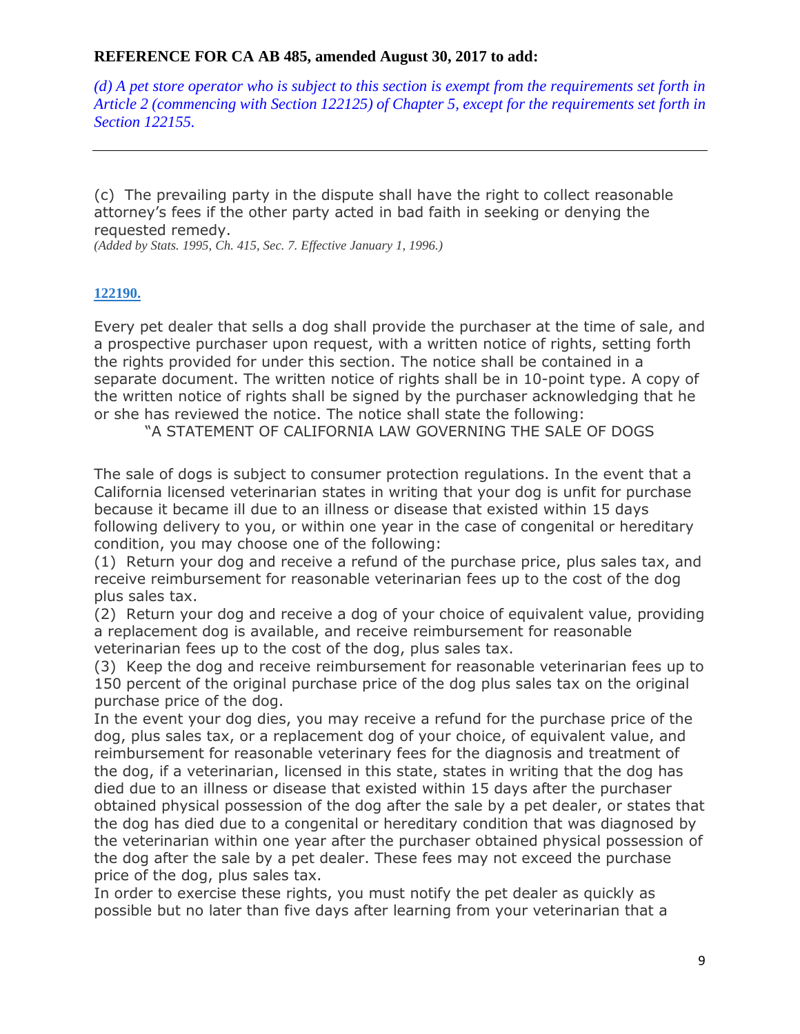$(d)$  A pet store operator who is subject to this section is exempt from the requirements set forth in *Article 2 (commencing with Section 122125) of Chapter 5, except for the requirements set forth in Section 122155.*

(c) The prevailing party in the dispute shall have the right to collect reasonable attorney's fees if the other party acted in bad faith in seeking or denying the requested remedy.

*(Added by Stats. 1995, Ch. 415, Sec. 7. Effective January 1, 1996.)*

#### **[122190.](javascript:submitCodesValues()**

Every pet dealer that sells a dog shall provide the purchaser at the time of sale, and a prospective purchaser upon request, with a written notice of rights, setting forth the rights provided for under this section. The notice shall be contained in a separate document. The written notice of rights shall be in 10-point type. A copy of the written notice of rights shall be signed by the purchaser acknowledging that he or she has reviewed the notice. The notice shall state the following:

"A STATEMENT OF CALIFORNIA LAW GOVERNING THE SALE OF DOGS

The sale of dogs is subject to consumer protection regulations. In the event that a California licensed veterinarian states in writing that your dog is unfit for purchase because it became ill due to an illness or disease that existed within 15 days following delivery to you, or within one year in the case of congenital or hereditary condition, you may choose one of the following:

(1) Return your dog and receive a refund of the purchase price, plus sales tax, and receive reimbursement for reasonable veterinarian fees up to the cost of the dog plus sales tax.

(2) Return your dog and receive a dog of your choice of equivalent value, providing a replacement dog is available, and receive reimbursement for reasonable veterinarian fees up to the cost of the dog, plus sales tax.

(3) Keep the dog and receive reimbursement for reasonable veterinarian fees up to 150 percent of the original purchase price of the dog plus sales tax on the original purchase price of the dog.

In the event your dog dies, you may receive a refund for the purchase price of the dog, plus sales tax, or a replacement dog of your choice, of equivalent value, and reimbursement for reasonable veterinary fees for the diagnosis and treatment of the dog, if a veterinarian, licensed in this state, states in writing that the dog has died due to an illness or disease that existed within 15 days after the purchaser obtained physical possession of the dog after the sale by a pet dealer, or states that the dog has died due to a congenital or hereditary condition that was diagnosed by the veterinarian within one year after the purchaser obtained physical possession of the dog after the sale by a pet dealer. These fees may not exceed the purchase price of the dog, plus sales tax.

In order to exercise these rights, you must notify the pet dealer as quickly as possible but no later than five days after learning from your veterinarian that a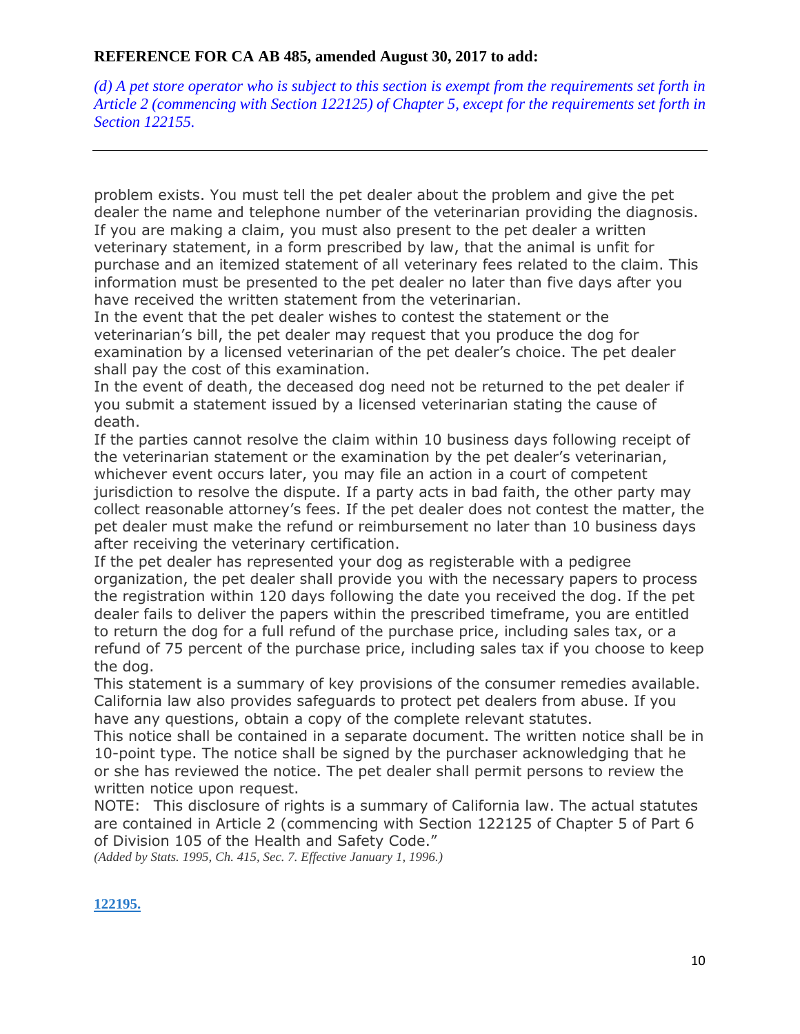$(d)$  A pet store operator who is subject to this section is exempt from the requirements set forth in *Article 2 (commencing with Section 122125) of Chapter 5, except for the requirements set forth in Section 122155.*

problem exists. You must tell the pet dealer about the problem and give the pet dealer the name and telephone number of the veterinarian providing the diagnosis. If you are making a claim, you must also present to the pet dealer a written veterinary statement, in a form prescribed by law, that the animal is unfit for purchase and an itemized statement of all veterinary fees related to the claim. This information must be presented to the pet dealer no later than five days after you have received the written statement from the veterinarian.

In the event that the pet dealer wishes to contest the statement or the veterinarian's bill, the pet dealer may request that you produce the dog for examination by a licensed veterinarian of the pet dealer's choice. The pet dealer shall pay the cost of this examination.

In the event of death, the deceased dog need not be returned to the pet dealer if you submit a statement issued by a licensed veterinarian stating the cause of death.

If the parties cannot resolve the claim within 10 business days following receipt of the veterinarian statement or the examination by the pet dealer's veterinarian, whichever event occurs later, you may file an action in a court of competent jurisdiction to resolve the dispute. If a party acts in bad faith, the other party may collect reasonable attorney's fees. If the pet dealer does not contest the matter, the pet dealer must make the refund or reimbursement no later than 10 business days after receiving the veterinary certification.

If the pet dealer has represented your dog as registerable with a pedigree organization, the pet dealer shall provide you with the necessary papers to process the registration within 120 days following the date you received the dog. If the pet dealer fails to deliver the papers within the prescribed timeframe, you are entitled to return the dog for a full refund of the purchase price, including sales tax, or a refund of 75 percent of the purchase price, including sales tax if you choose to keep the dog.

This statement is a summary of key provisions of the consumer remedies available. California law also provides safeguards to protect pet dealers from abuse. If you have any questions, obtain a copy of the complete relevant statutes.

This notice shall be contained in a separate document. The written notice shall be in 10-point type. The notice shall be signed by the purchaser acknowledging that he or she has reviewed the notice. The pet dealer shall permit persons to review the written notice upon request.

NOTE: This disclosure of rights is a summary of California law. The actual statutes are contained in Article 2 (commencing with Section 122125 of Chapter 5 of Part 6 of Division 105 of the Health and Safety Code."

*(Added by Stats. 1995, Ch. 415, Sec. 7. Effective January 1, 1996.)*

## **[122195.](javascript:submitCodesValues()**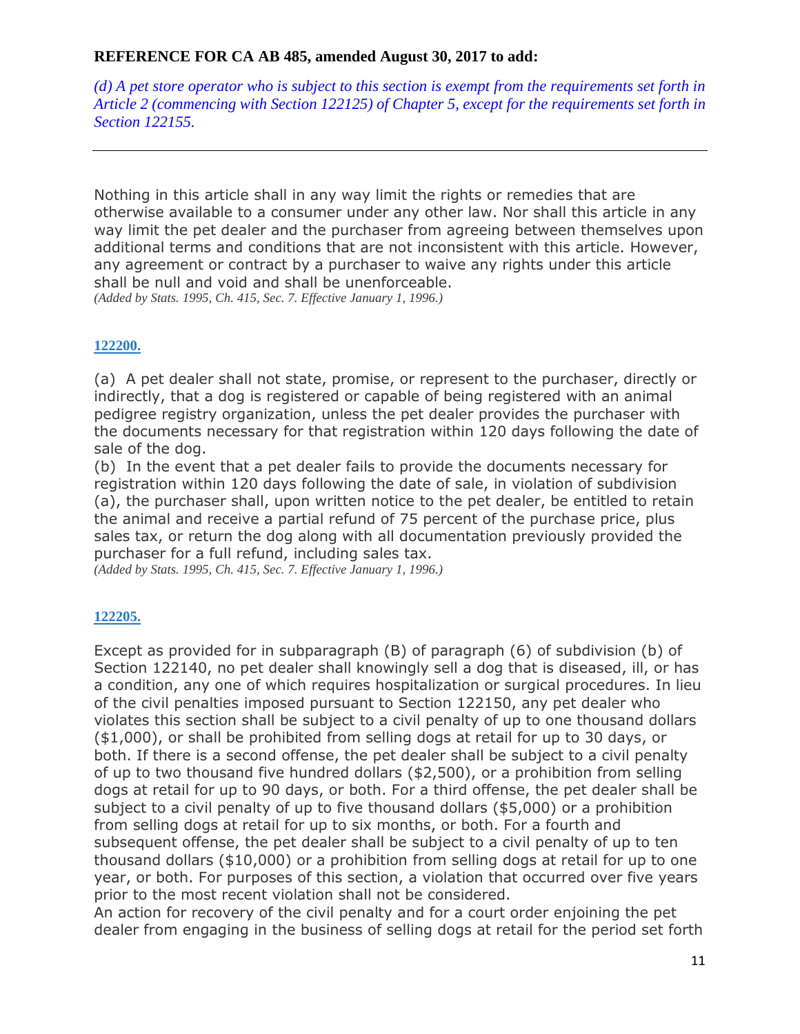$(d)$  A pet store operator who is subject to this section is exempt from the requirements set forth in *Article 2 (commencing with Section 122125) of Chapter 5, except for the requirements set forth in Section 122155.*

Nothing in this article shall in any way limit the rights or remedies that are otherwise available to a consumer under any other law. Nor shall this article in any way limit the pet dealer and the purchaser from agreeing between themselves upon additional terms and conditions that are not inconsistent with this article. However, any agreement or contract by a purchaser to waive any rights under this article shall be null and void and shall be unenforceable. *(Added by Stats. 1995, Ch. 415, Sec. 7. Effective January 1, 1996.)*

#### **[122200.](javascript:submitCodesValues()**

(a) A pet dealer shall not state, promise, or represent to the purchaser, directly or indirectly, that a dog is registered or capable of being registered with an animal pedigree registry organization, unless the pet dealer provides the purchaser with the documents necessary for that registration within 120 days following the date of sale of the dog.

(b) In the event that a pet dealer fails to provide the documents necessary for registration within 120 days following the date of sale, in violation of subdivision (a), the purchaser shall, upon written notice to the pet dealer, be entitled to retain the animal and receive a partial refund of 75 percent of the purchase price, plus sales tax, or return the dog along with all documentation previously provided the purchaser for a full refund, including sales tax.

*(Added by Stats. 1995, Ch. 415, Sec. 7. Effective January 1, 1996.)*

#### **[122205.](javascript:submitCodesValues()**

Except as provided for in subparagraph (B) of paragraph (6) of subdivision (b) of Section 122140, no pet dealer shall knowingly sell a dog that is diseased, ill, or has a condition, any one of which requires hospitalization or surgical procedures. In lieu of the civil penalties imposed pursuant to Section 122150, any pet dealer who violates this section shall be subject to a civil penalty of up to one thousand dollars (\$1,000), or shall be prohibited from selling dogs at retail for up to 30 days, or both. If there is a second offense, the pet dealer shall be subject to a civil penalty of up to two thousand five hundred dollars (\$2,500), or a prohibition from selling dogs at retail for up to 90 days, or both. For a third offense, the pet dealer shall be subject to a civil penalty of up to five thousand dollars (\$5,000) or a prohibition from selling dogs at retail for up to six months, or both. For a fourth and subsequent offense, the pet dealer shall be subject to a civil penalty of up to ten thousand dollars (\$10,000) or a prohibition from selling dogs at retail for up to one year, or both. For purposes of this section, a violation that occurred over five years prior to the most recent violation shall not be considered.

An action for recovery of the civil penalty and for a court order enjoining the pet dealer from engaging in the business of selling dogs at retail for the period set forth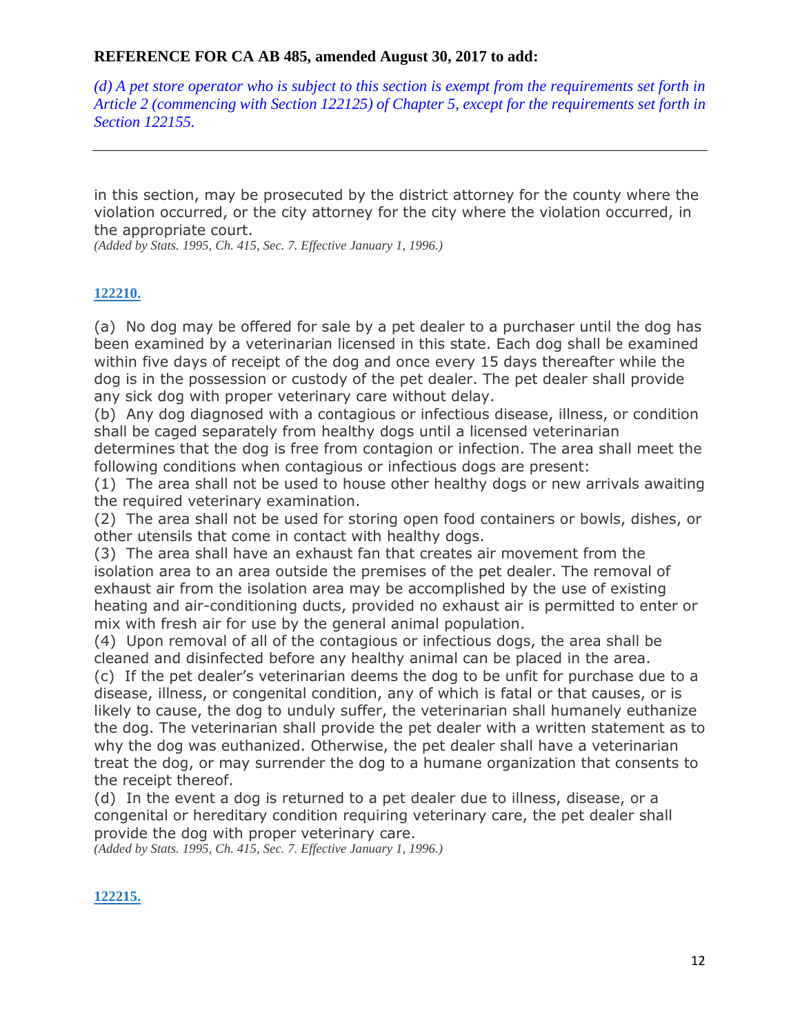$(d)$  A pet store operator who is subject to this section is exempt from the requirements set forth in *Article 2 (commencing with Section 122125) of Chapter 5, except for the requirements set forth in Section 122155.*

in this section, may be prosecuted by the district attorney for the county where the violation occurred, or the city attorney for the city where the violation occurred, in the appropriate court.

*(Added by Stats. 1995, Ch. 415, Sec. 7. Effective January 1, 1996.)*

#### **[122210.](javascript:submitCodesValues()**

(a) No dog may be offered for sale by a pet dealer to a purchaser until the dog has been examined by a veterinarian licensed in this state. Each dog shall be examined within five days of receipt of the dog and once every 15 days thereafter while the dog is in the possession or custody of the pet dealer. The pet dealer shall provide any sick dog with proper veterinary care without delay.

(b) Any dog diagnosed with a contagious or infectious disease, illness, or condition shall be caged separately from healthy dogs until a licensed veterinarian determines that the dog is free from contagion or infection. The area shall meet the following conditions when contagious or infectious dogs are present:

(1) The area shall not be used to house other healthy dogs or new arrivals awaiting the required veterinary examination.

(2) The area shall not be used for storing open food containers or bowls, dishes, or other utensils that come in contact with healthy dogs.

(3) The area shall have an exhaust fan that creates air movement from the isolation area to an area outside the premises of the pet dealer. The removal of exhaust air from the isolation area may be accomplished by the use of existing heating and air-conditioning ducts, provided no exhaust air is permitted to enter or mix with fresh air for use by the general animal population.

(4) Upon removal of all of the contagious or infectious dogs, the area shall be cleaned and disinfected before any healthy animal can be placed in the area.

(c) If the pet dealer's veterinarian deems the dog to be unfit for purchase due to a disease, illness, or congenital condition, any of which is fatal or that causes, or is likely to cause, the dog to unduly suffer, the veterinarian shall humanely euthanize the dog. The veterinarian shall provide the pet dealer with a written statement as to why the dog was euthanized. Otherwise, the pet dealer shall have a veterinarian treat the dog, or may surrender the dog to a humane organization that consents to the receipt thereof.

(d) In the event a dog is returned to a pet dealer due to illness, disease, or a congenital or hereditary condition requiring veterinary care, the pet dealer shall provide the dog with proper veterinary care.

*(Added by Stats. 1995, Ch. 415, Sec. 7. Effective January 1, 1996.)*

#### **[122215.](javascript:submitCodesValues()**